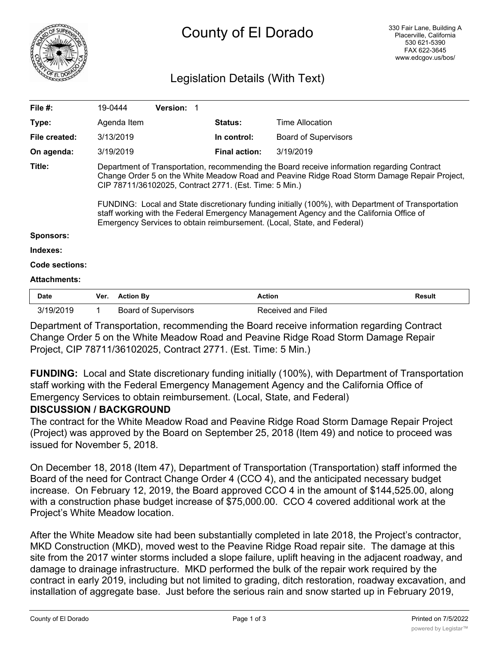

# County of El Dorado

## Legislation Details (With Text)

| File #:             | 19-0444                                                                                                                                                                                                                                                                                                                                                                                                                                                                                                                          | <b>Version:</b> |                      |                             |        |
|---------------------|----------------------------------------------------------------------------------------------------------------------------------------------------------------------------------------------------------------------------------------------------------------------------------------------------------------------------------------------------------------------------------------------------------------------------------------------------------------------------------------------------------------------------------|-----------------|----------------------|-----------------------------|--------|
| Type:               | Agenda Item                                                                                                                                                                                                                                                                                                                                                                                                                                                                                                                      |                 | <b>Status:</b>       | Time Allocation             |        |
| File created:       | 3/13/2019                                                                                                                                                                                                                                                                                                                                                                                                                                                                                                                        |                 | In control:          | <b>Board of Supervisors</b> |        |
| On agenda:          | 3/19/2019                                                                                                                                                                                                                                                                                                                                                                                                                                                                                                                        |                 | <b>Final action:</b> | 3/19/2019                   |        |
| Title:              | Department of Transportation, recommending the Board receive information regarding Contract<br>Change Order 5 on the White Meadow Road and Peavine Ridge Road Storm Damage Repair Project,<br>CIP 78711/36102025, Contract 2771. (Est. Time: 5 Min.)<br>FUNDING: Local and State discretionary funding initially (100%), with Department of Transportation<br>staff working with the Federal Emergency Management Agency and the California Office of<br>Emergency Services to obtain reimbursement. (Local, State, and Federal) |                 |                      |                             |        |
| <b>Sponsors:</b>    |                                                                                                                                                                                                                                                                                                                                                                                                                                                                                                                                  |                 |                      |                             |        |
| Indexes:            |                                                                                                                                                                                                                                                                                                                                                                                                                                                                                                                                  |                 |                      |                             |        |
| Code sections:      |                                                                                                                                                                                                                                                                                                                                                                                                                                                                                                                                  |                 |                      |                             |        |
| <b>Attachments:</b> |                                                                                                                                                                                                                                                                                                                                                                                                                                                                                                                                  |                 |                      |                             |        |
| <b>Date</b>         | <b>Action By</b><br>Ver.                                                                                                                                                                                                                                                                                                                                                                                                                                                                                                         |                 | <b>Action</b>        |                             | Result |

Department of Transportation, recommending the Board receive information regarding Contract Change Order 5 on the White Meadow Road and Peavine Ridge Road Storm Damage Repair Project, CIP 78711/36102025, Contract 2771. (Est. Time: 5 Min.)

3/19/2019 1 Board of Supervisors Received and Filed

**FUNDING:** Local and State discretionary funding initially (100%), with Department of Transportation staff working with the Federal Emergency Management Agency and the California Office of Emergency Services to obtain reimbursement. (Local, State, and Federal)

### **DISCUSSION / BACKGROUND**

The contract for the White Meadow Road and Peavine Ridge Road Storm Damage Repair Project (Project) was approved by the Board on September 25, 2018 (Item 49) and notice to proceed was issued for November 5, 2018.

On December 18, 2018 (Item 47), Department of Transportation (Transportation) staff informed the Board of the need for Contract Change Order 4 (CCO 4), and the anticipated necessary budget increase. On February 12, 2019, the Board approved CCO 4 in the amount of \$144,525.00, along with a construction phase budget increase of \$75,000.00. CCO 4 covered additional work at the Project's White Meadow location.

After the White Meadow site had been substantially completed in late 2018, the Project's contractor, MKD Construction (MKD), moved west to the Peavine Ridge Road repair site. The damage at this site from the 2017 winter storms included a slope failure, uplift heaving in the adjacent roadway, and damage to drainage infrastructure. MKD performed the bulk of the repair work required by the contract in early 2019, including but not limited to grading, ditch restoration, roadway excavation, and installation of aggregate base. Just before the serious rain and snow started up in February 2019,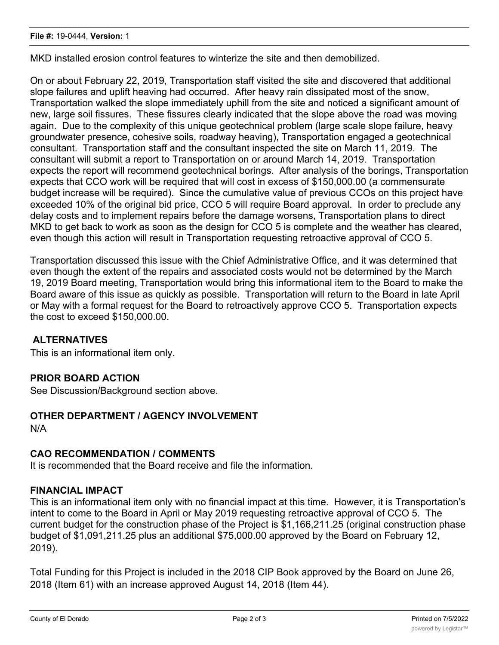MKD installed erosion control features to winterize the site and then demobilized.

On or about February 22, 2019, Transportation staff visited the site and discovered that additional slope failures and uplift heaving had occurred. After heavy rain dissipated most of the snow, Transportation walked the slope immediately uphill from the site and noticed a significant amount of new, large soil fissures. These fissures clearly indicated that the slope above the road was moving again. Due to the complexity of this unique geotechnical problem (large scale slope failure, heavy groundwater presence, cohesive soils, roadway heaving), Transportation engaged a geotechnical consultant. Transportation staff and the consultant inspected the site on March 11, 2019. The consultant will submit a report to Transportation on or around March 14, 2019. Transportation expects the report will recommend geotechnical borings. After analysis of the borings, Transportation expects that CCO work will be required that will cost in excess of \$150,000.00 (a commensurate budget increase will be required). Since the cumulative value of previous CCOs on this project have exceeded 10% of the original bid price, CCO 5 will require Board approval. In order to preclude any delay costs and to implement repairs before the damage worsens, Transportation plans to direct MKD to get back to work as soon as the design for CCO 5 is complete and the weather has cleared, even though this action will result in Transportation requesting retroactive approval of CCO 5.

Transportation discussed this issue with the Chief Administrative Office, and it was determined that even though the extent of the repairs and associated costs would not be determined by the March 19, 2019 Board meeting, Transportation would bring this informational item to the Board to make the Board aware of this issue as quickly as possible. Transportation will return to the Board in late April or May with a formal request for the Board to retroactively approve CCO 5. Transportation expects the cost to exceed \$150,000.00.

### **ALTERNATIVES**

This is an informational item only.

### **PRIOR BOARD ACTION**

See Discussion/Background section above.

### **OTHER DEPARTMENT / AGENCY INVOLVEMENT**

N/A

### **CAO RECOMMENDATION / COMMENTS**

It is recommended that the Board receive and file the information.

### **FINANCIAL IMPACT**

This is an informational item only with no financial impact at this time. However, it is Transportation's intent to come to the Board in April or May 2019 requesting retroactive approval of CCO 5. The current budget for the construction phase of the Project is \$1,166,211.25 (original construction phase budget of \$1,091,211.25 plus an additional \$75,000.00 approved by the Board on February 12, 2019).

Total Funding for this Project is included in the 2018 CIP Book approved by the Board on June 26, 2018 (Item 61) with an increase approved August 14, 2018 (Item 44).